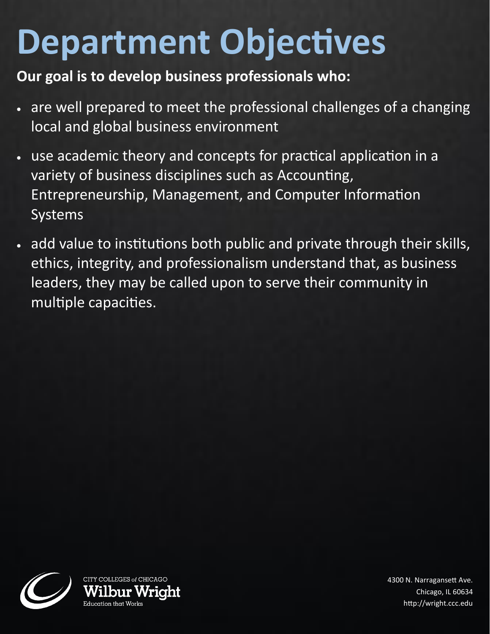## **Department Objectives**

## **Our goal is to develop business professionals who:**

- are well prepared to meet the professional challenges of a changing local and global business environment
- use academic theory and concepts for practical application in a variety of business disciplines such as Accounting, Entrepreneurship, Management, and Computer Information Systems
- add value to institutions both public and private through their skills, ethics, integrity, and professionalism understand that, as business leaders, they may be called upon to serve their community in multiple capacities.



4300 N. Narragansett Ave. Chicago, IL 60634 http://wright.ccc.edu